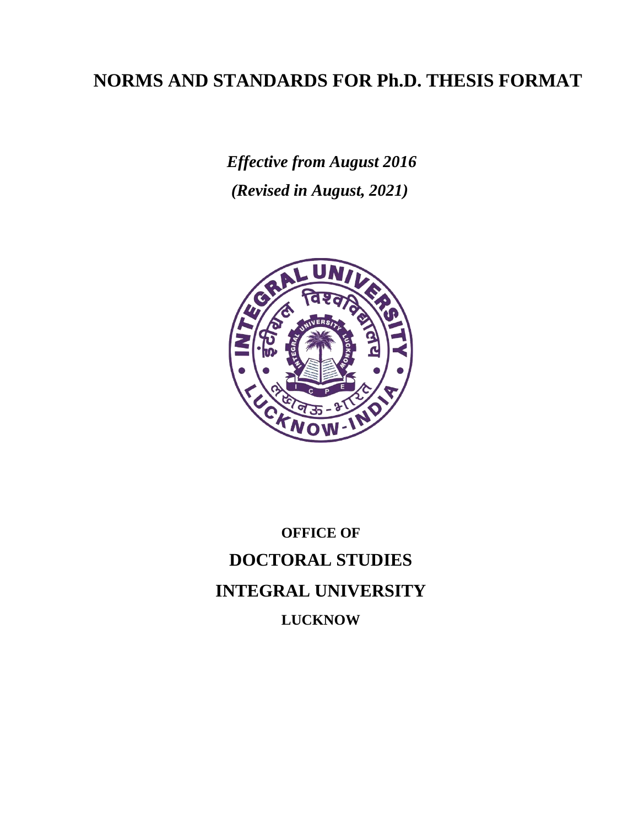## **NORMS AND STANDARDS FOR Ph.D. THESIS FORMAT**

*Effective from August 2016 (Revised in August, 2021)*



# **OFFICE OF DOCTORAL STUDIES INTEGRAL UNIVERSITY LUCKNOW**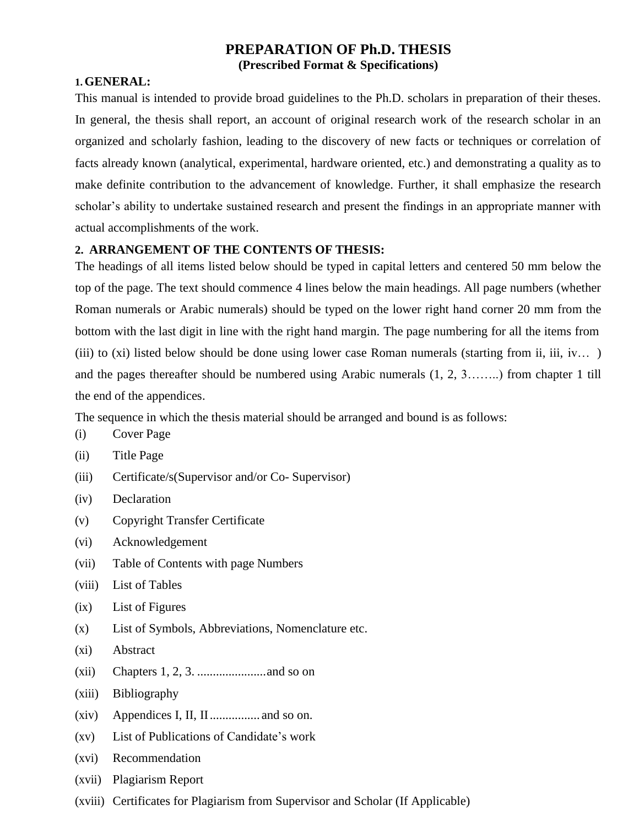## **PREPARATION OF Ph.D. THESIS (Prescribed Format & Specifications)**

#### **1.GENERAL:**

This manual is intended to provide broad guidelines to the Ph.D. scholars in preparation of their theses. In general, the thesis shall report, an account of original research work of the research scholar in an organized and scholarly fashion, leading to the discovery of new facts or techniques or correlation of facts already known (analytical, experimental, hardware oriented, etc.) and demonstrating a quality as to make definite contribution to the advancement of knowledge. Further, it shall emphasize the research scholar's ability to undertake sustained research and present the findings in an appropriate manner with actual accomplishments of the work.

#### **2. ARRANGEMENT OF THE CONTENTS OF THESIS:**

The headings of all items listed below should be typed in capital letters and centered 50 mm below the top of the page. The text should commence 4 lines below the main headings. All page numbers (whether Roman numerals or Arabic numerals) should be typed on the lower right hand corner 20 mm from the bottom with the last digit in line with the right hand margin. The page numbering for all the items from (iii) to (xi) listed below should be done using lower case Roman numerals (starting from ii, iii, iv… ) and the pages thereafter should be numbered using Arabic numerals (1, 2, 3……..) from chapter 1 till the end of the appendices.

The sequence in which the thesis material should be arranged and bound is as follows:

- (i) Cover Page
- (ii) Title Page
- (iii) Certificate/s(Supervisor and/or Co- Supervisor)
- (iv) Declaration
- (v) Copyright Transfer Certificate
- (vi) Acknowledgement
- (vii) Table of Contents with page Numbers
- (viii) List of Tables
- (ix) List of Figures
- (x) List of Symbols, Abbreviations, Nomenclature etc.
- (xi) Abstract
- (xii) Chapters 1, 2, 3. ......................and so on
- (xiii) Bibliography
- (xiv) Appendices I, II, II................ and so on.
- (xv) List of Publications of Candidate's work
- (xvi) Recommendation
- (xvii) Plagiarism Report
- (xviii) Certificates for Plagiarism from Supervisor and Scholar (If Applicable)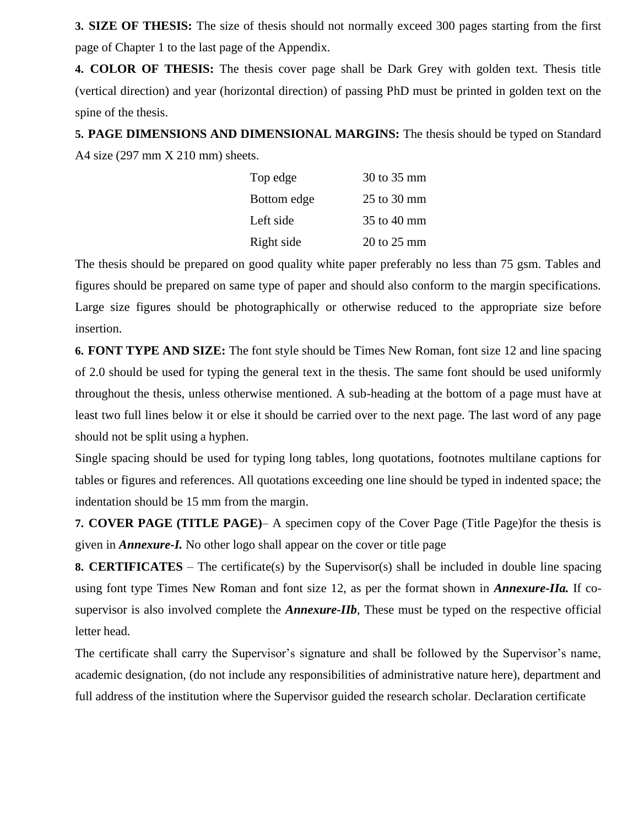**3. SIZE OF THESIS:** The size of thesis should not normally exceed 300 pages starting from the first page of Chapter 1 to the last page of the Appendix.

**4. COLOR OF THESIS:** The thesis cover page shall be Dark Grey with golden text. Thesis title (vertical direction) and year (horizontal direction) of passing PhD must be printed in golden text on the spine of the thesis.

**5. PAGE DIMENSIONS AND DIMENSIONAL MARGINS:** The thesis should be typed on Standard A4 size (297 mm X 210 mm) sheets.

| Top edge    | 30 to 35 mm |
|-------------|-------------|
| Bottom edge | 25 to 30 mm |
| Left side   | 35 to 40 mm |
| Right side  | 20 to 25 mm |

The thesis should be prepared on good quality white paper preferably no less than 75 gsm. Tables and figures should be prepared on same type of paper and should also conform to the margin specifications. Large size figures should be photographically or otherwise reduced to the appropriate size before insertion.

**6. FONT TYPE AND SIZE:** The font style should be Times New Roman, font size 12 and line spacing of 2.0 should be used for typing the general text in the thesis. The same font should be used uniformly throughout the thesis, unless otherwise mentioned. A sub-heading at the bottom of a page must have at least two full lines below it or else it should be carried over to the next page. The last word of any page should not be split using a hyphen.

Single spacing should be used for typing long tables, long quotations, footnotes multilane captions for tables or figures and references. All quotations exceeding one line should be typed in indented space; the indentation should be 15 mm from the margin.

**7. COVER PAGE (TITLE PAGE)**– A specimen copy of the Cover Page (Title Page)for the thesis is given in *Annexure-I.* No other logo shall appear on the cover or title page

**8. CERTIFICATES** – The certificate(s) by the Supervisor(s) shall be included in double line spacing using font type Times New Roman and font size 12, as per the format shown in *Annexure-IIa.* If cosupervisor is also involved complete the *Annexure-IIb*, These must be typed on the respective official letter head.

The certificate shall carry the Supervisor's signature and shall be followed by the Supervisor's name, academic designation, (do not include any responsibilities of administrative nature here), department and full address of the institution where the Supervisor guided the research scholar. Declaration certificate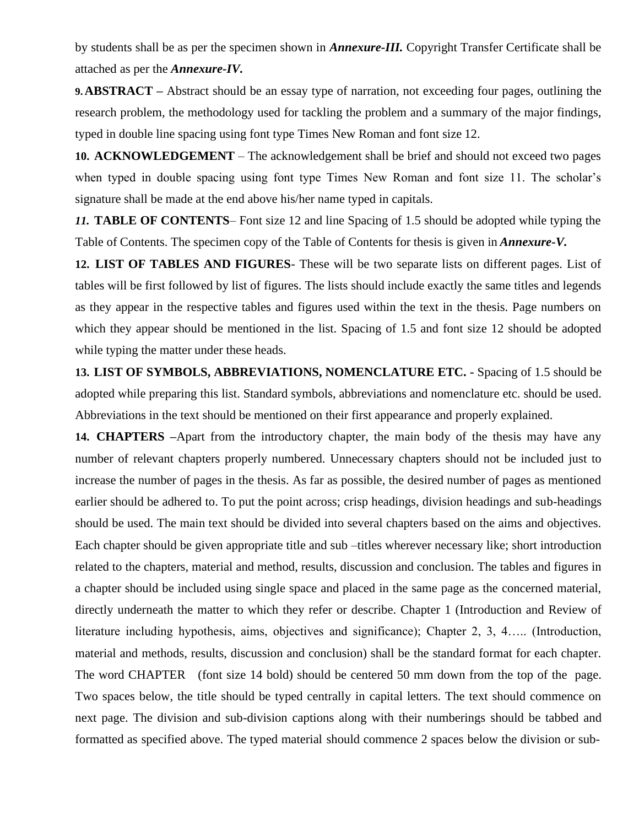by students shall be as per the specimen shown in *Annexure-III.* Copyright Transfer Certificate shall be attached as per the *Annexure-IV.*

**9.ABSTRACT –** Abstract should be an essay type of narration, not exceeding four pages, outlining the research problem, the methodology used for tackling the problem and a summary of the major findings, typed in double line spacing using font type Times New Roman and font size 12.

**10. ACKNOWLEDGEMENT** – The acknowledgement shall be brief and should not exceed two pages when typed in double spacing using font type Times New Roman and font size 11. The scholar's signature shall be made at the end above his/her name typed in capitals.

*11.* **TABLE OF CONTENTS**– Font size 12 and line Spacing of 1.5 should be adopted while typing the Table of Contents. The specimen copy of the Table of Contents for thesis is given in *Annexure-V.*

**12. LIST OF TABLES AND FIGURES**- These will be two separate lists on different pages. List of tables will be first followed by list of figures. The lists should include exactly the same titles and legends as they appear in the respective tables and figures used within the text in the thesis. Page numbers on which they appear should be mentioned in the list. Spacing of 1.5 and font size 12 should be adopted while typing the matter under these heads.

**13. LIST OF SYMBOLS, ABBREVIATIONS, NOMENCLATURE ETC. -** Spacing of 1.5 should be adopted while preparing this list. Standard symbols, abbreviations and nomenclature etc. should be used. Abbreviations in the text should be mentioned on their first appearance and properly explained.

**14. CHAPTERS –**Apart from the introductory chapter, the main body of the thesis may have any number of relevant chapters properly numbered. Unnecessary chapters should not be included just to increase the number of pages in the thesis. As far as possible, the desired number of pages as mentioned earlier should be adhered to. To put the point across; crisp headings, division headings and sub-headings should be used. The main text should be divided into several chapters based on the aims and objectives. Each chapter should be given appropriate title and sub –titles wherever necessary like; short introduction related to the chapters, material and method, results, discussion and conclusion. The tables and figures in a chapter should be included using single space and placed in the same page as the concerned material, directly underneath the matter to which they refer or describe. Chapter 1 (Introduction and Review of literature including hypothesis, aims, objectives and significance); Chapter 2, 3, 4….. (Introduction, material and methods, results, discussion and conclusion) shall be the standard format for each chapter. The word CHAPTER (font size 14 bold) should be centered 50 mm down from the top of the page. Two spaces below, the title should be typed centrally in capital letters. The text should commence on next page. The division and sub-division captions along with their numberings should be tabbed and formatted as specified above. The typed material should commence 2 spaces below the division or sub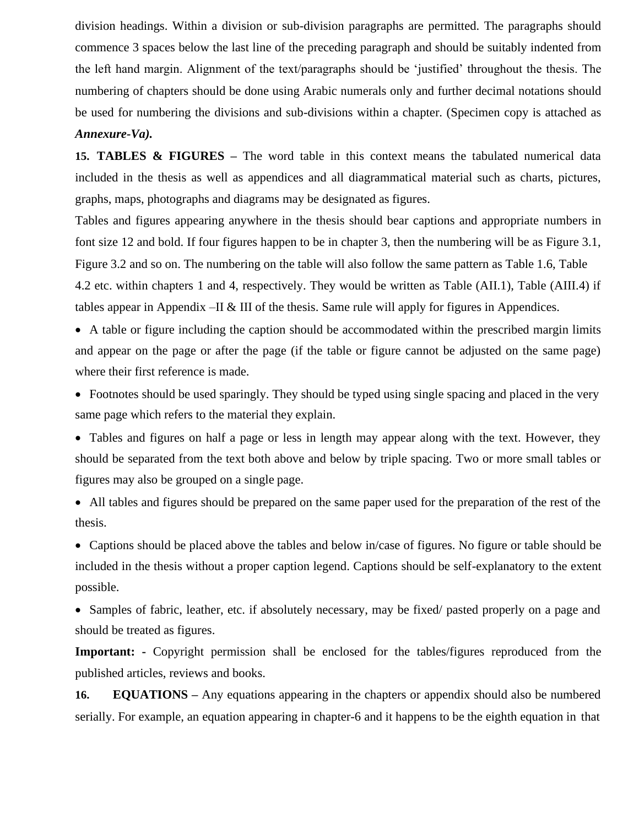division headings. Within a division or sub-division paragraphs are permitted. The paragraphs should commence 3 spaces below the last line of the preceding paragraph and should be suitably indented from the left hand margin. Alignment of the text/paragraphs should be 'justified' throughout the thesis. The numbering of chapters should be done using Arabic numerals only and further decimal notations should be used for numbering the divisions and sub-divisions within a chapter. (Specimen copy is attached as *Annexure-Va).*

**15. TABLES & FIGURES –** The word table in this context means the tabulated numerical data included in the thesis as well as appendices and all diagrammatical material such as charts, pictures, graphs, maps, photographs and diagrams may be designated as figures.

Tables and figures appearing anywhere in the thesis should bear captions and appropriate numbers in font size 12 and bold. If four figures happen to be in chapter 3, then the numbering will be as Figure 3.1, Figure 3.2 and so on. The numbering on the table will also follow the same pattern as Table 1.6, Table 4.2 etc. within chapters 1 and 4, respectively. They would be written as Table (AII.1), Table (AIII.4) if tables appear in Appendix –II & III of the thesis. Same rule will apply for figures in Appendices.

• A table or figure including the caption should be accommodated within the prescribed margin limits and appear on the page or after the page (if the table or figure cannot be adjusted on the same page) where their first reference is made.

• Footnotes should be used sparingly. They should be typed using single spacing and placed in the very same page which refers to the material they explain.

• Tables and figures on half a page or less in length may appear along with the text. However, they should be separated from the text both above and below by triple spacing. Two or more small tables or figures may also be grouped on a single page.

• All tables and figures should be prepared on the same paper used for the preparation of the rest of the thesis.

• Captions should be placed above the tables and below in/case of figures. No figure or table should be included in the thesis without a proper caption legend. Captions should be self-explanatory to the extent possible.

• Samples of fabric, leather, etc. if absolutely necessary, may be fixed/ pasted properly on a page and should be treated as figures.

**Important: -** Copyright permission shall be enclosed for the tables/figures reproduced from the published articles, reviews and books.

**16. EQUATIONS –** Any equations appearing in the chapters or appendix should also be numbered serially. For example, an equation appearing in chapter-6 and it happens to be the eighth equation in that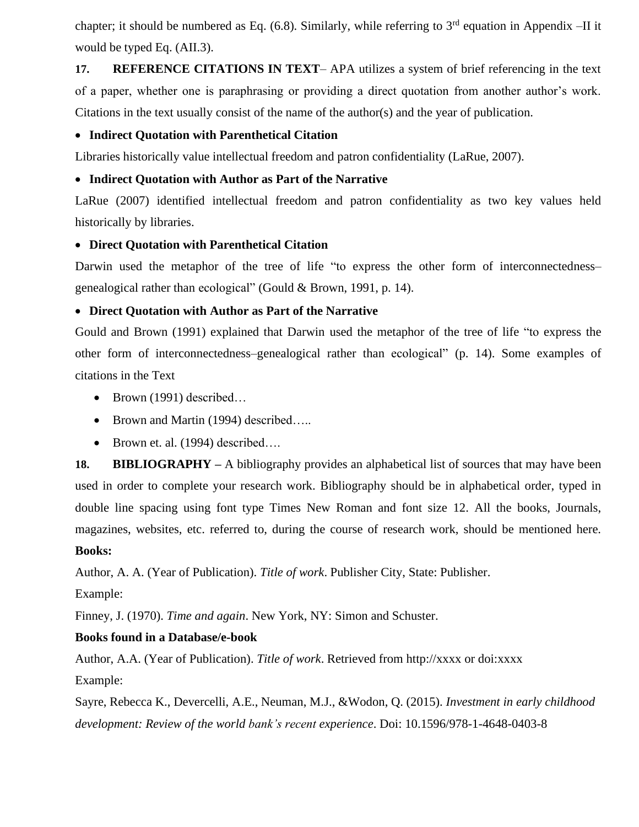chapter; it should be numbered as Eq.  $(6.8)$ . Similarly, while referring to 3<sup>rd</sup> equation in Appendix –II it would be typed Eq. (AII.3).

**17. REFERENCE CITATIONS IN TEXT**– APA utilizes a system of brief referencing in the text of a paper, whether one is paraphrasing or providing a direct quotation from another author's work. Citations in the text usually consist of the name of the author(s) and the year of publication.

#### • **Indirect Quotation with Parenthetical Citation**

Libraries historically value intellectual freedom and patron confidentiality (LaRue, 2007).

#### • **Indirect Quotation with Author as Part of the Narrative**

LaRue (2007) identified intellectual freedom and patron confidentiality as two key values held historically by libraries.

#### • **Direct Quotation with Parenthetical Citation**

Darwin used the metaphor of the tree of life "to express the other form of interconnectedness– genealogical rather than ecological" (Gould & Brown, 1991, p. 14).

#### • **Direct Quotation with Author as Part of the Narrative**

Gould and Brown (1991) explained that Darwin used the metaphor of the tree of life "to express the other form of interconnectedness–genealogical rather than ecological" (p. 14). Some examples of citations in the Text

- Brown (1991) described...
- Brown and Martin (1994) described.....
- Brown et. al. (1994) described....

**18. BIBLIOGRAPHY –** A bibliography provides an alphabetical list of sources that may have been used in order to complete your research work. Bibliography should be in alphabetical order, typed in double line spacing using font type Times New Roman and font size 12. All the books, Journals, magazines, websites, etc. referred to, during the course of research work, should be mentioned here.

#### **Books:**

Author, A. A. (Year of Publication). *Title of work*. Publisher City, State: Publisher.

Example:

Finney, J. (1970). *Time and again*. New York, NY: Simon and Schuster.

#### **Books found in a Database/e-book**

Author, A.A. (Year of Publication). *Title of work*. Retrieved f[rom http://xxxx o](http://xxxx/)r doi:xxxx Example:

Sayre, Rebecca K., Devercelli, A.E., Neuman, M.J., &Wodon, Q. (2015). *Investment in early childhood development: Review of the world bank's recent experience*. Doi: 10.1596/978-1-4648-0403-8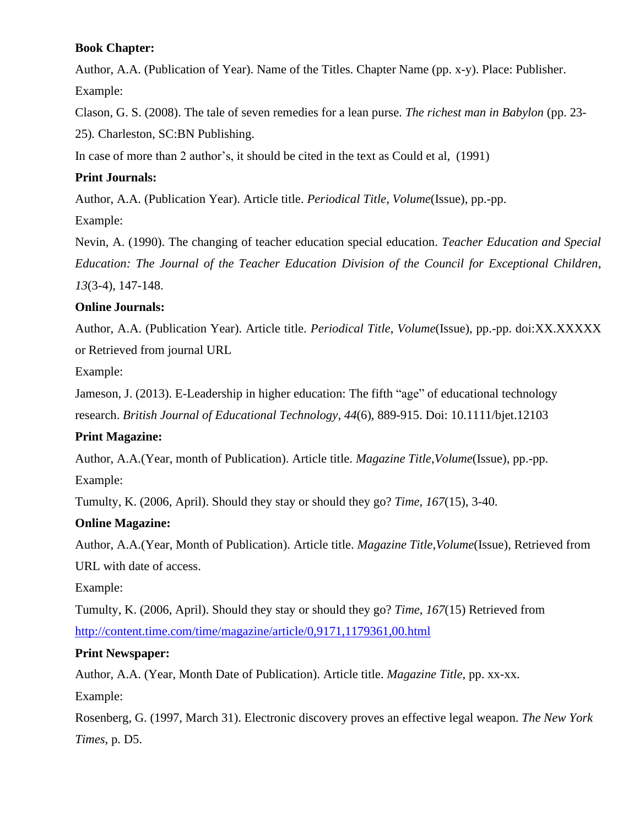#### **Book Chapter:**

Author, A.A. (Publication of Year). Name of the Titles. Chapter Name (pp. x-y). Place: Publisher. Example:

Clason, G. S. (2008). The tale of seven remedies for a lean purse. *The richest man in Babylon* (pp. 23- 25)*.* Charleston, SC:BN Publishing.

In case of more than 2 author's, it should be cited in the text as Could et al, (1991)

## **Print Journals:**

Author, A.A. (Publication Year). Article title. *Periodical Title*, *Volume*(Issue), pp.-pp.

Example:

Nevin, A. (1990). The changing of teacher education special education. *Teacher Education and Special Education: The Journal of the Teacher Education Division of the Council for Exceptional Children*, *13*(3-4), 147-148.

## **Online Journals:**

Author, A.A. (Publication Year). Article title. *Periodical Title*, *Volume*(Issue), pp.-pp. doi:XX.XXXXX or Retrieved from journal URL

Example:

Jameson, J. (2013). E-Leadership in higher education: The fifth "age" of educational technology research. *British Journal of Educational Technology*, *44*(6), 889-915. Doi: 10.1111/bjet.12103

## **Print Magazine:**

Author, A.A.(Year, month of Publication). Article title. *Magazine Title*,*Volume*(Issue), pp.-pp. Example:

Tumulty, K. (2006, April). Should they stay or should they go? *Time*, *167*(15), 3-40.

## **Online Magazine:**

Author, A.A.(Year, Month of Publication). Article title. *Magazine Title*,*Volume*(Issue), Retrieved from URL with date of access.

Example:

Tumulty, K. (2006, April). Should they stay or should they go? *Time*, *167*(15) Retrieved from [http://content.time.com/time/magazine/article/0,9171,1179361,00.html](http://content.time.com/time/magazine/article/0%2C9171%2C1179361%2C00.html)

## **Print Newspaper:**

Author, A.A. (Year, Month Date of Publication). Article title. *Magazine Title*, pp. xx-xx. Example:

Rosenberg, G. (1997, March 31). Electronic discovery proves an effective legal weapon. *The New York Times*, p. D5.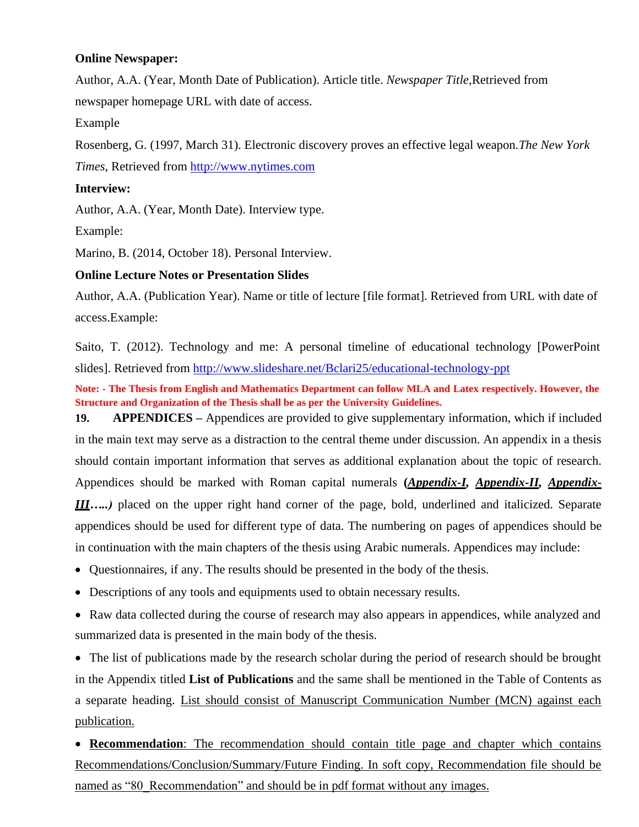#### **Online Newspaper:**

Author, A.A. (Year, Month Date of Publication). Article title. *Newspaper Title*,Retrieved from newspaper homepage URL with date of access.

Example

Rosenberg, G. (1997, March 31). Electronic discovery proves an effective legal weapon.*The New York*

*Times*, Retrieved from [http://www.nytimes.com](http://www.nytimes.com/)

#### **Interview:**

Author, A.A. (Year, Month Date). Interview type.

Example:

Marino, B. (2014, October 18). Personal Interview.

#### **Online Lecture Notes or Presentation Slides**

Author, A.A. (Publication Year). Name or title of lecture [file format]. Retrieved from URL with date of access.Example:

Saito, T. (2012). Technology and me: A personal timeline of educational technology [PowerPoint slides]. Retrieved from<http://www.slideshare.net/Bclari25/educational-technology-ppt>

Note: - The Thesis from English and Mathematics Department can follow MLA and Latex respectively. However, the **Structure and Organization of the Thesis shall be as per the University Guidelines.**

**19. APPENDICES –** Appendices are provided to give supplementary information, which if included in the main text may serve as a distraction to the central theme under discussion. An appendix in a thesis should contain important information that serves as additional explanation about the topic of research. Appendices should be marked with Roman capital numerals **(***Appendix-I, Appendix-II, Appendix-III…..)* placed on the upper right hand corner of the page, bold, underlined and italicized. Separate appendices should be used for different type of data. The numbering on pages of appendices should be in continuation with the main chapters of the thesis using Arabic numerals. Appendices may include:

- Questionnaires, if any. The results should be presented in the body of the thesis.
- Descriptions of any tools and equipments used to obtain necessary results.

• Raw data collected during the course of research may also appears in appendices, while analyzed and summarized data is presented in the main body of the thesis.

• The list of publications made by the research scholar during the period of research should be brought in the Appendix titled **List of Publications** and the same shall be mentioned in the Table of Contents as a separate heading. List should consist of Manuscript Communication Number (MCN) against each publication.

• **Recommendation**: The recommendation should contain title page and chapter which contains Recommendations/Conclusion/Summary/Future Finding. In soft copy, Recommendation file should be named as "80 Recommendation" and should be in pdf format without any images.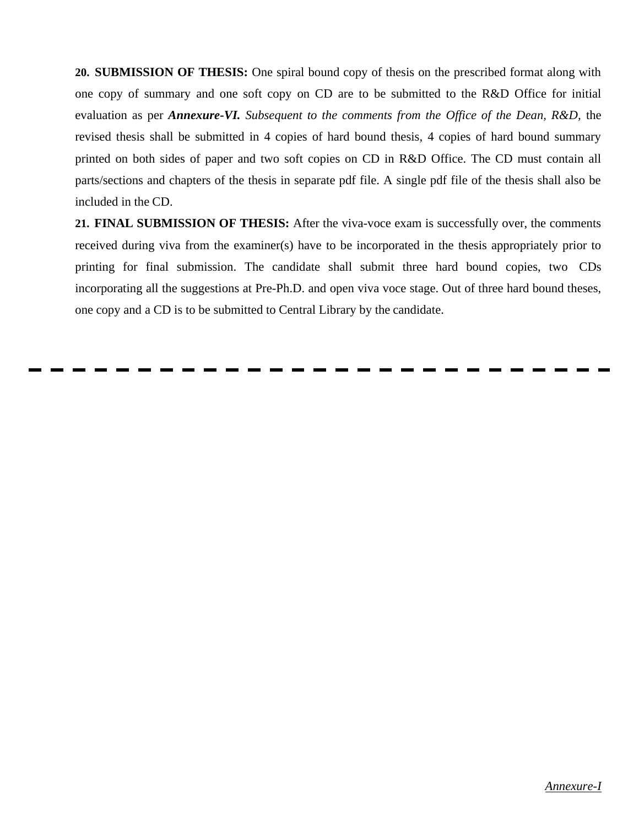**20. SUBMISSION OF THESIS:** One spiral bound copy of thesis on the prescribed format along with one copy of summary and one soft copy on CD are to be submitted to the R&D Office for initial evaluation as per *Annexure-VI. Subsequent to the comments from the Office of the Dean, R&D,* the revised thesis shall be submitted in 4 copies of hard bound thesis, 4 copies of hard bound summary printed on both sides of paper and two soft copies on CD in R&D Office. The CD must contain all parts/sections and chapters of the thesis in separate pdf file. A single pdf file of the thesis shall also be included in the CD.

**21. FINAL SUBMISSION OF THESIS:** After the viva-voce exam is successfully over, the comments received during viva from the examiner(s) have to be incorporated in the thesis appropriately prior to printing for final submission. The candidate shall submit three hard bound copies, two CDs incorporating all the suggestions at Pre-Ph.D. and open viva voce stage. Out of three hard bound theses, one copy and a CD is to be submitted to Central Library by the candidate.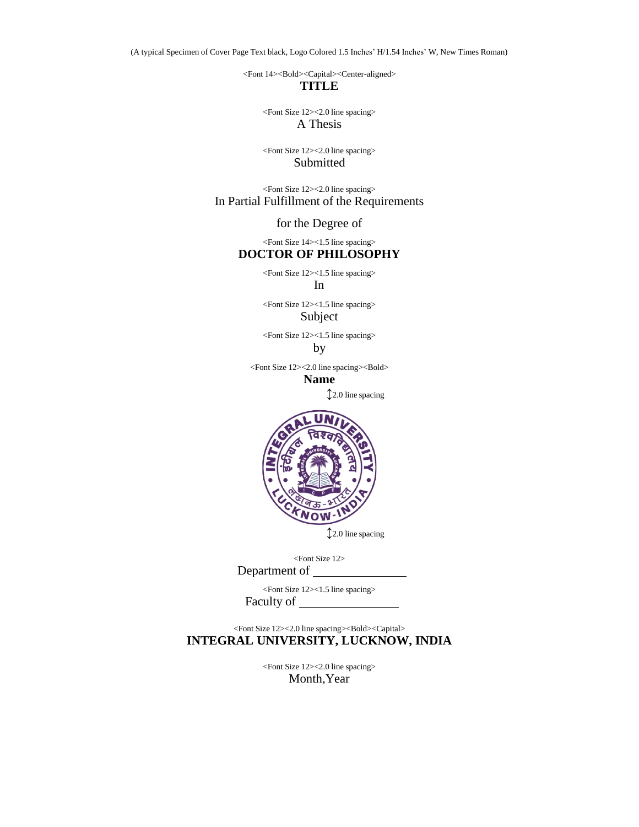(A typical Specimen of Cover Page Text black, Logo Colored 1.5 Inches' H/1.54 Inches' W, New Times Roman)

<Font 14><Bold><Capital><Center-aligned>

#### **TITLE**

<Font Size 12><2.0 line spacing> A Thesis

<Font Size 12><2.0 line spacing> Submitted

<Font Size 12><2.0 line spacing> In Partial Fulfillment of the Requirements

for the Degree of

<Font Size 14><1.5 line spacing> **DOCTOR OF PHILOSOPHY**

<Font Size 12><1.5 line spacing>

In

<Font Size 12><1.5 line spacing> Subject

<Font Size 12><1.5 line spacing> by

<Font Size 12><2.0 line spacing><Bold>

#### **Name**

 $Q2.0$  line spacing



<Font Size 12>

Department of

<Font Size 12><1.5 line spacing> Faculty of \_\_

<Font Size 12><2.0 line spacing><Bold><Capital> **INTEGRAL UNIVERSITY, LUCKNOW, INDIA**

> <Font Size 12><2.0 line spacing> Month,Year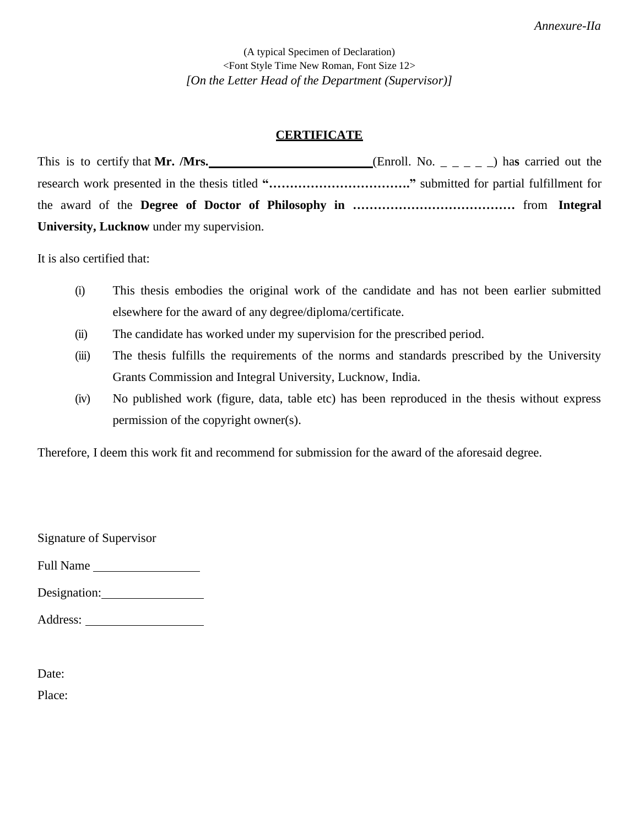(A typical Specimen of Declaration) <Font Style Time New Roman, Font Size 12> *[On the Letter Head of the Department (Supervisor)]*

#### **CERTIFICATE**

This is to certify that **Mr. /Mrs.** (Enroll. No. ) has carried out the research work presented in the thesis titled **"……………………………."** submitted for partial fulfillment for the award of the **Degree of Doctor of Philosophy in …………………………………** from **Integral University, Lucknow** under my supervision.

It is also certified that:

- (i) This thesis embodies the original work of the candidate and has not been earlier submitted elsewhere for the award of any degree/diploma/certificate.
- (ii) The candidate has worked under my supervision for the prescribed period.
- (iii) The thesis fulfills the requirements of the norms and standards prescribed by the University Grants Commission and Integral University, Lucknow, India.
- (iv) No published work (figure, data, table etc) has been reproduced in the thesis without express permission of the copyright owner(s).

Therefore, I deem this work fit and recommend for submission for the award of the aforesaid degree.

|                  | Signature of Supervisor |
|------------------|-------------------------|
| <b>Full Name</b> |                         |

| Designation: |  |
|--------------|--|
|              |  |

| Address: |  |
|----------|--|
|          |  |

Date:

Place: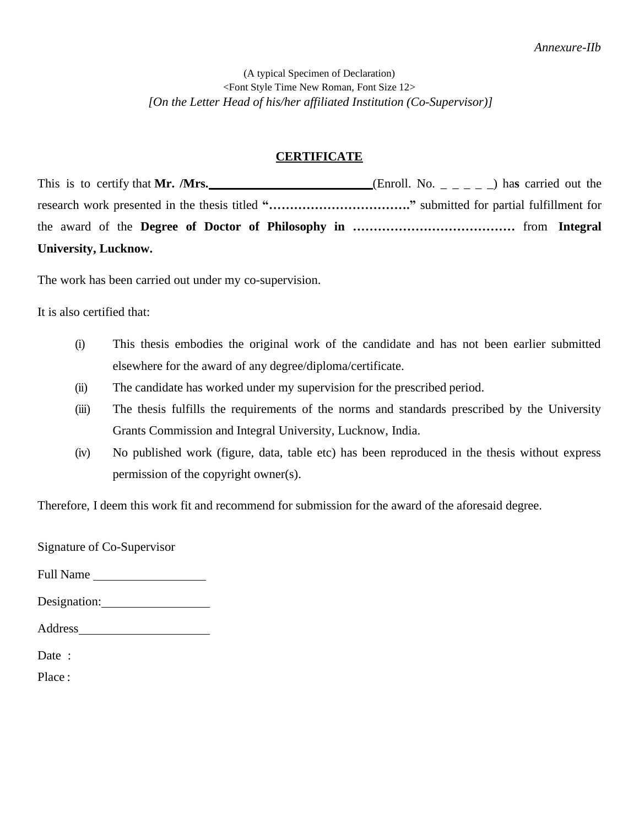(A typical Specimen of Declaration) <Font Style Time New Roman, Font Size 12> *[On the Letter Head of his/her affiliated Institution (Co-Supervisor)]*

#### **CERTIFICATE**

This is to certify that **Mr. /Mrs.** (Enroll. No.  $\angle$   $\angle$   $\angle$   $\angle$   $\angle$  ) has carried out the research work presented in the thesis titled **"……………………………."** submitted for partial fulfillment for the award of the **Degree of Doctor of Philosophy in …………………………………** from **Integral University, Lucknow.**

The work has been carried out under my co-supervision.

It is also certified that:

- (i) This thesis embodies the original work of the candidate and has not been earlier submitted elsewhere for the award of any degree/diploma/certificate.
- (ii) The candidate has worked under my supervision for the prescribed period.
- (iii) The thesis fulfills the requirements of the norms and standards prescribed by the University Grants Commission and Integral University, Lucknow, India.
- (iv) No published work (figure, data, table etc) has been reproduced in the thesis without express permission of the copyright owner(s).

Therefore, I deem this work fit and recommend for submission for the award of the aforesaid degree.

Signature of Co-Supervisor Full Name Designation: Address Date : Place :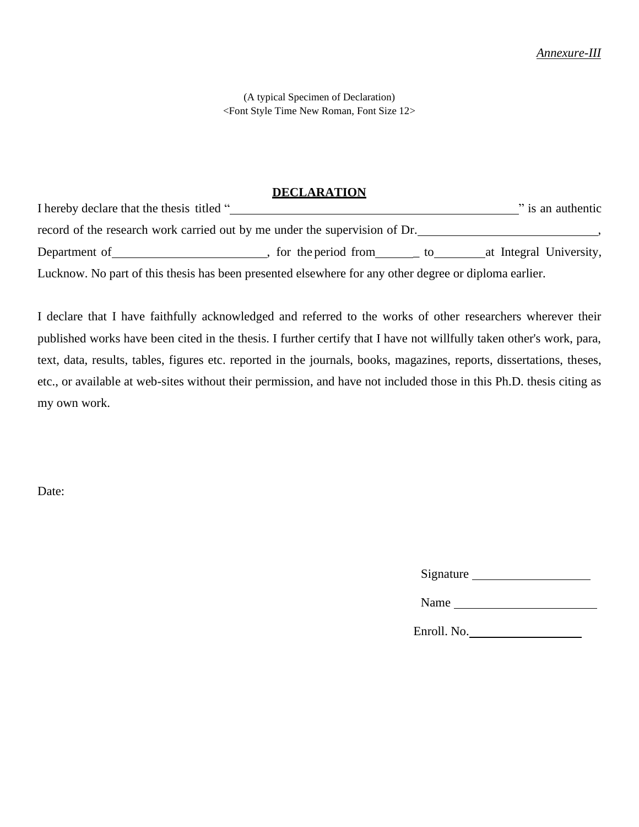(A typical Specimen of Declaration) <Font Style Time New Roman, Font Size 12>

## **DECLARATION**

I hereby declare that the thesis titled "

" is an authentic record of the research work carried out by me under the supervision of Dr. Department of **Constant Constant Constant Constant Constant Constant Constant Constant Constant Constant Constant Constant Constant Constant Constant Constant Constant Constant Constant Constant Constant Constant Constant** Lucknow. No part of this thesis has been presented elsewhere for any other degree or diploma earlier.

I declare that I have faithfully acknowledged and referred to the works of other researchers wherever their published works have been cited in the thesis. I further certify that I have not willfully taken other's work, para, text, data, results, tables, figures etc. reported in the journals, books, magazines, reports, dissertations, theses, etc., or available at web-sites without their permission, and have not included those in this Ph.D. thesis citing as my own work.

Date:

| Signature |  |  |
|-----------|--|--|
|           |  |  |

Enroll. No.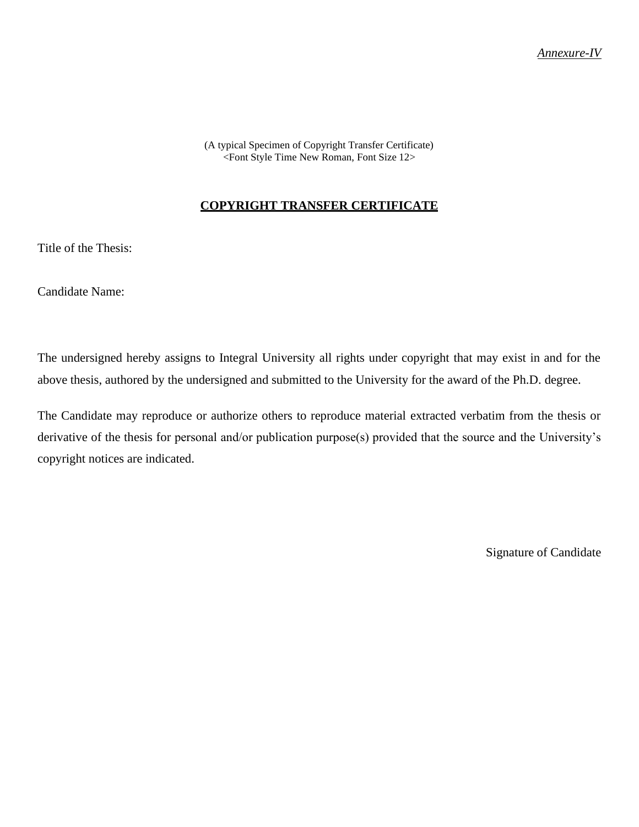(A typical Specimen of Copyright Transfer Certificate) <Font Style Time New Roman, Font Size 12>

#### **COPYRIGHT TRANSFER CERTIFICATE**

Title of the Thesis:

Candidate Name:

The undersigned hereby assigns to Integral University all rights under copyright that may exist in and for the above thesis, authored by the undersigned and submitted to the University for the award of the Ph.D. degree.

The Candidate may reproduce or authorize others to reproduce material extracted verbatim from the thesis or derivative of the thesis for personal and/or publication purpose(s) provided that the source and the University's copyright notices are indicated.

Signature of Candidate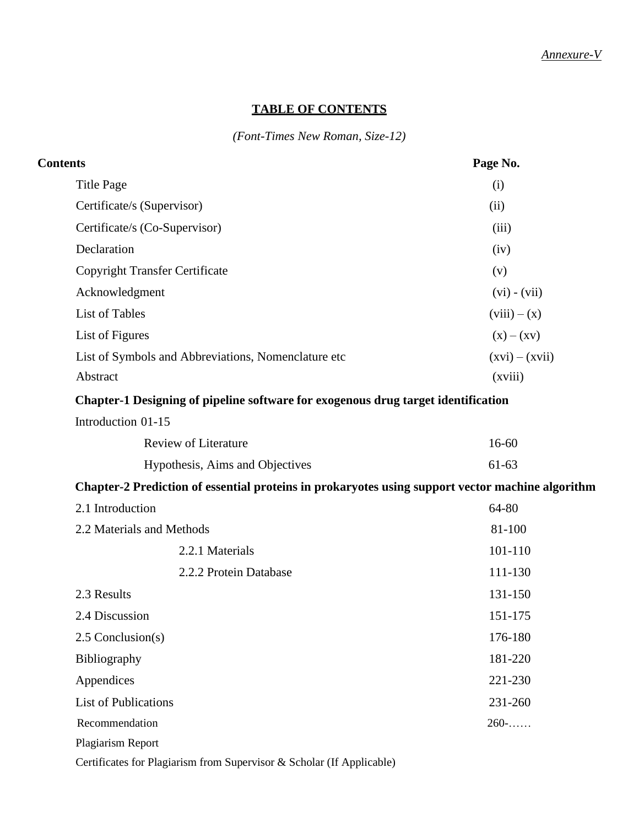## **TABLE OF CONTENTS**

*(Font-Times New Roman, Size-12)*

| <b>Contents</b>                                                                                  | Page No.         |
|--------------------------------------------------------------------------------------------------|------------------|
| <b>Title Page</b>                                                                                | (i)              |
| Certificate/s (Supervisor)                                                                       | (ii)             |
| Certificate/s (Co-Supervisor)                                                                    | (iii)            |
| Declaration                                                                                      | (iv)             |
| <b>Copyright Transfer Certificate</b>                                                            | (v)              |
| Acknowledgment                                                                                   | $(vi) - (vii)$   |
| List of Tables                                                                                   | $(viii) - (x)$   |
| List of Figures                                                                                  | $(x) - (xv)$     |
| List of Symbols and Abbreviations, Nomenclature etc.                                             | $(xvi) - (xvii)$ |
| Abstract                                                                                         | (xviii)          |
| Chapter-1 Designing of pipeline software for exogenous drug target identification                |                  |
| Introduction 01-15                                                                               |                  |
| <b>Review of Literature</b>                                                                      | $16 - 60$        |
| Hypothesis, Aims and Objectives                                                                  | 61-63            |
| Chapter-2 Prediction of essential proteins in prokaryotes using support vector machine algorithm |                  |
| 2.1 Introduction                                                                                 | 64-80            |
| 2.2 Materials and Methods                                                                        | 81-100           |
| 2.2.1 Materials                                                                                  | 101-110          |
| 2.2.2 Protein Database                                                                           | 111-130          |
| 2.3 Results                                                                                      | 131-150          |
| 2.4 Discussion                                                                                   | 151-175          |
| $2.5$ Conclusion(s)                                                                              | 176-180          |
| Bibliography                                                                                     | 181-220          |
| Appendices                                                                                       | 221-230          |
| <b>List of Publications</b>                                                                      | 231-260          |
| Recommendation                                                                                   | $260$ -          |
| Plagiarism Report                                                                                |                  |
| Certificates for Plagiarism from Supervisor & Scholar (If Applicable)                            |                  |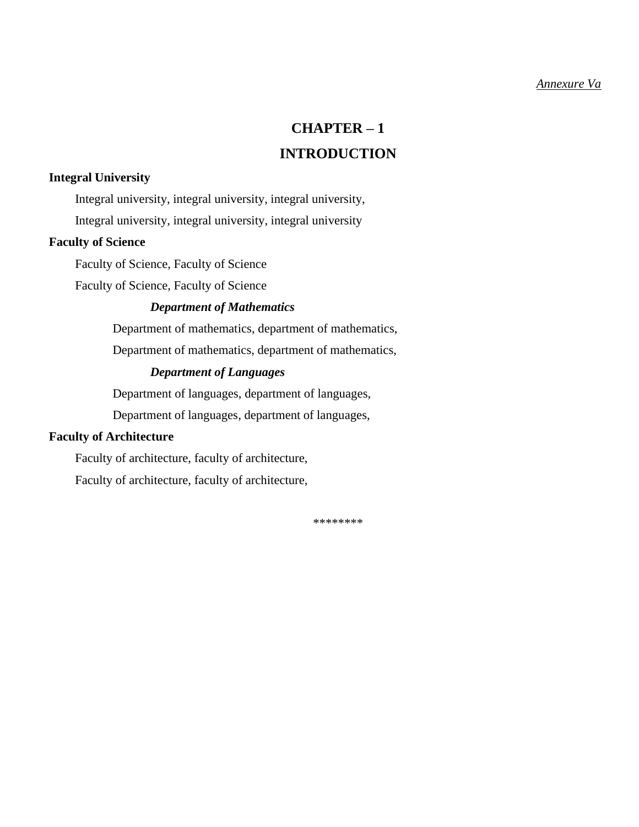#### *Annexure Va*

## **CHAPTER – 1**

## **INTRODUCTION**

#### **Integral University**

Integral university, integral university, integral university, Integral university, integral university, integral university

#### **Faculty of Science**

Faculty of Science, Faculty of Science

Faculty of Science, Faculty of Science

#### *Department of Mathematics*

Department of mathematics, department of mathematics,

Department of mathematics, department of mathematics,

## *Department of Languages*

Department of languages, department of languages,

Department of languages, department of languages,

#### **Faculty of Architecture**

Faculty of architecture, faculty of architecture,

Faculty of architecture, faculty of architecture,

\*\*\*\*\*\*\*\*